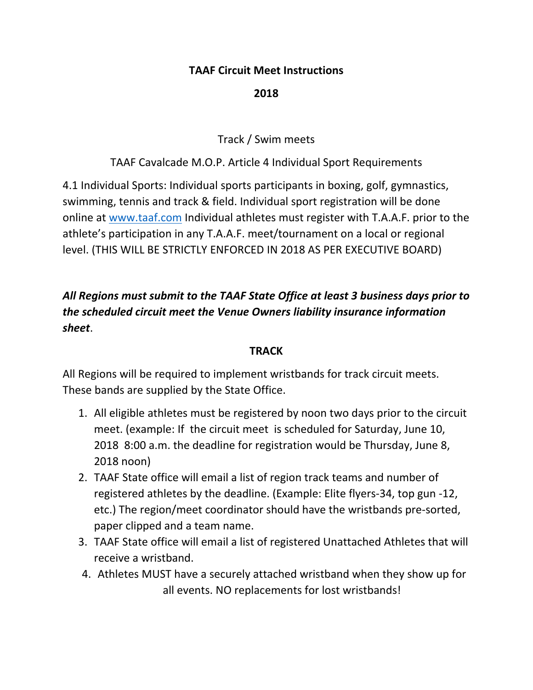### **TAAF Circuit Meet Instructions**

## **2018**

Track / Swim meets

## TAAF Cavalcade M.O.P. Article 4 Individual Sport Requirements

4.1 Individual Sports: Individual sports participants in boxing, golf, gymnastics, swimming, tennis and track & field. Individual sport registration will be done online at www.taaf.com Individual athletes must register with T.A.A.F. prior to the athlete's participation in any T.A.A.F. meet/tournament on a local or regional level. (THIS WILL BE STRICTLY ENFORCED IN 2018 AS PER EXECUTIVE BOARD)

# *All Regions must submit to the TAAF State Office at least 3 business days prior to the scheduled circuit meet the Venue Owners liability insurance information sheet*.

#### **TRACK**

All Regions will be required to implement wristbands for track circuit meets. These bands are supplied by the State Office.

- 1. All eligible athletes must be registered by noon two days prior to the circuit meet. (example: If the circuit meet is scheduled for Saturday, June 10, 2018 8:00 a.m. the deadline for registration would be Thursday, June 8, 2018 noon)
- 2. TAAF State office will email a list of region track teams and number of registered athletes by the deadline. (Example: Elite flyers‐34, top gun ‐12, etc.) The region/meet coordinator should have the wristbands pre‐sorted, paper clipped and a team name.
- 3. TAAF State office will email a list of registered Unattached Athletes that will receive a wristband.
- 4. Athletes MUST have a securely attached wristband when they show up for all events. NO replacements for lost wristbands!